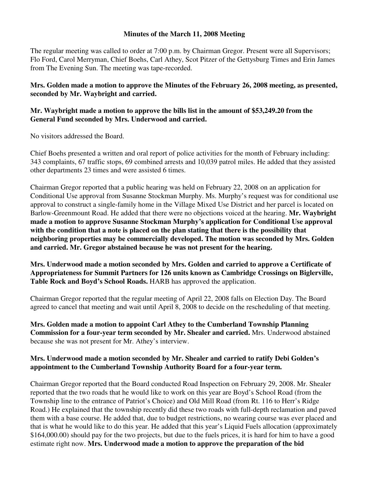## **Minutes of the March 11, 2008 Meeting**

The regular meeting was called to order at 7:00 p.m. by Chairman Gregor. Present were all Supervisors; Flo Ford, Carol Merryman, Chief Boehs, Carl Athey, Scot Pitzer of the Gettysburg Times and Erin James from The Evening Sun. The meeting was tape-recorded.

**Mrs. Golden made a motion to approve the Minutes of the February 26, 2008 meeting, as presented, seconded by Mr. Waybright and carried.** 

## **Mr. Waybright made a motion to approve the bills list in the amount of \$53,249.20 from the General Fund seconded by Mrs. Underwood and carried.**

No visitors addressed the Board.

Chief Boehs presented a written and oral report of police activities for the month of February including: 343 complaints, 67 traffic stops, 69 combined arrests and 10,039 patrol miles. He added that they assisted other departments 23 times and were assisted 6 times.

Chairman Gregor reported that a public hearing was held on February 22, 2008 on an application for Conditional Use approval from Susanne Stockman Murphy. Ms. Murphy's request was for conditional use approval to construct a single-family home in the Village Mixed Use District and her parcel is located on Barlow-Greenmount Road. He added that there were no objections voiced at the hearing. **Mr. Waybright made a motion to approve Susanne Stockman Murphy's application for Conditional Use approval with the condition that a note is placed on the plan stating that there is the possibility that neighboring properties may be commercially developed. The motion was seconded by Mrs. Golden and carried. Mr. Gregor abstained because he was not present for the hearing.** 

**Mrs. Underwood made a motion seconded by Mrs. Golden and carried to approve a Certificate of Appropriateness for Summit Partners for 126 units known as Cambridge Crossings on Biglerville, Table Rock and Boyd's School Roads.** HARB has approved the application.

Chairman Gregor reported that the regular meeting of April 22, 2008 falls on Election Day. The Board agreed to cancel that meeting and wait until April 8, 2008 to decide on the rescheduling of that meeting.

**Mrs. Golden made a motion to appoint Carl Athey to the Cumberland Township Planning Commission for a four-year term seconded by Mr. Shealer and carried.** Mrs. Underwood abstained because she was not present for Mr. Athey's interview.

## **Mrs. Underwood made a motion seconded by Mr. Shealer and carried to ratify Debi Golden's appointment to the Cumberland Township Authority Board for a four-year term.**

Chairman Gregor reported that the Board conducted Road Inspection on February 29, 2008. Mr. Shealer reported that the two roads that he would like to work on this year are Boyd's School Road (from the Township line to the entrance of Patriot's Choice) and Old Mill Road (from Rt. 116 to Herr's Ridge Road.) He explained that the township recently did these two roads with full-depth reclamation and paved them with a base course. He added that, due to budget restrictions, no wearing course was ever placed and that is what he would like to do this year. He added that this year's Liquid Fuels allocation (approximately \$164,000.00) should pay for the two projects, but due to the fuels prices, it is hard for him to have a good estimate right now. **Mrs. Underwood made a motion to approve the preparation of the bid**